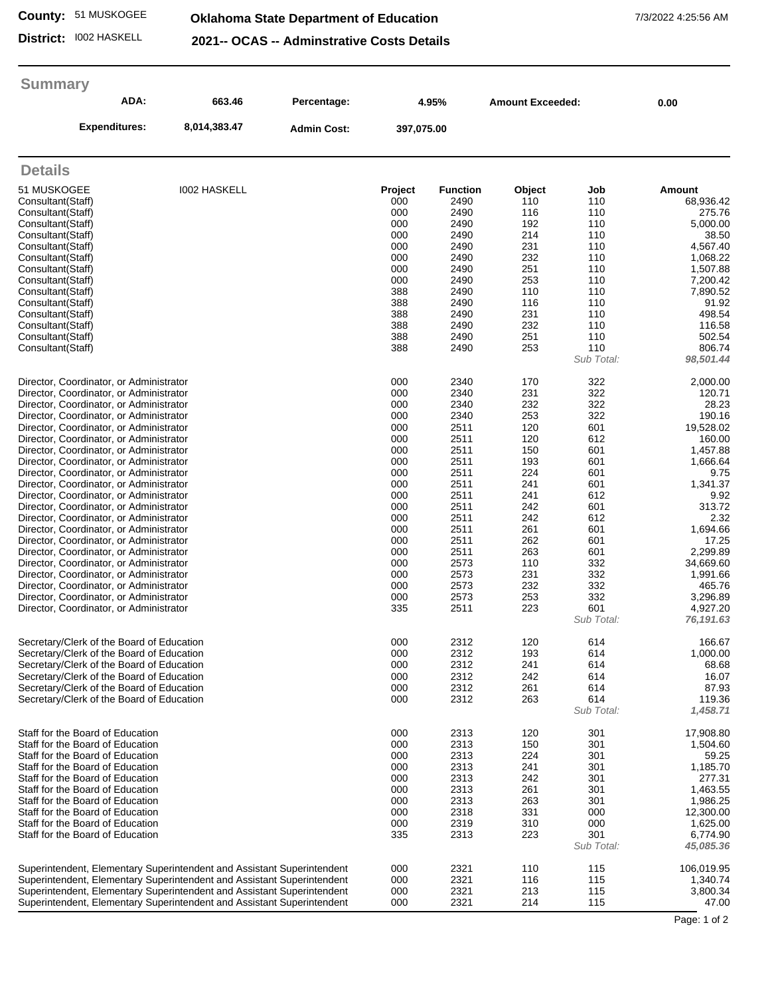## **County:** 51 MUSKOGEE

## **Oklahoma State Department of Education** 7/3/2022 4:25:56 AM

**District:** I002 HASKELL

**2021-- OCAS -- Adminstrative Costs Details**

## **Summary**

| <b>J</b> ullillai v<br>ADA: | 663.46<br>8,014,383.47 | Percentage:<br><b>Admin Cost:</b> | 4.95%<br>397,075.00 |                 | <b>Amount Exceeded:</b> |     | 0.00      |
|-----------------------------|------------------------|-----------------------------------|---------------------|-----------------|-------------------------|-----|-----------|
| <b>Expenditures:</b>        |                        |                                   |                     |                 |                         |     |           |
| <b>Details</b>              |                        |                                   |                     |                 |                         |     |           |
| 51 MUSKOGEE                 | <b>I002 HASKELL</b>    |                                   | Project             | <b>Function</b> | Object                  | Job | Amount    |
| Consultant (Staff)          |                        |                                   | 000                 | 2490            | 110                     | 110 | 68,936.42 |
| Consultant (Staff)          |                        |                                   | 000                 | 2490            | 116                     | 110 | 275.76    |
| Consultant(Staff)           |                        |                                   | 000                 | 2490            | 192                     | 110 | 5,000.00  |
| Consultant(Staff)           |                        |                                   | 000                 | 2490            | 214                     | 110 | 38.50     |
| Consultant(Staff)           |                        |                                   | 000                 | 2490            | 231                     | 110 | 4,567.40  |
| Consultant (Staff)          |                        |                                   | 000                 | 2490            | 232                     | 110 | 1,068.22  |
| Consultant (Staff)          |                        |                                   | 000                 | 2490            | 251                     | 110 | 1,507.88  |
| Consultant(Staff)           |                        |                                   | 000                 | 2490            | 253                     | 110 | 7,200.42  |
| Consultant(Staff)           |                        |                                   | 388                 | 2490            | 110                     | 110 | 7,890.52  |
| Consultant(Staff)           |                        |                                   | 388                 | 2490            | 116                     | 110 | 91.92     |
| Consultant(Staff)           |                        |                                   | 388                 | 2490            | 231                     | 110 | 498.54    |

| Consultant(Staff)                                                      | 388 | 2490 | 232 | 110        | 116.58     |
|------------------------------------------------------------------------|-----|------|-----|------------|------------|
| Consultant(Staff)                                                      | 388 | 2490 | 251 | 110        | 502.54     |
| Consultant(Staff)                                                      | 388 | 2490 | 253 | 110        | 806.74     |
|                                                                        |     |      |     | Sub Total: | 98,501.44  |
| Director, Coordinator, or Administrator                                | 000 | 2340 | 170 | 322        | 2,000.00   |
| Director, Coordinator, or Administrator                                | 000 | 2340 | 231 | 322        | 120.71     |
| Director, Coordinator, or Administrator                                | 000 | 2340 | 232 | 322        | 28.23      |
| Director, Coordinator, or Administrator                                | 000 | 2340 | 253 | 322        | 190.16     |
| Director, Coordinator, or Administrator                                | 000 | 2511 | 120 | 601        | 19,528.02  |
| Director, Coordinator, or Administrator                                | 000 | 2511 | 120 | 612        | 160.00     |
| Director, Coordinator, or Administrator                                | 000 | 2511 | 150 | 601        | 1,457.88   |
| Director, Coordinator, or Administrator                                | 000 | 2511 | 193 | 601        | 1,666.64   |
| Director, Coordinator, or Administrator                                | 000 | 2511 | 224 | 601        | 9.75       |
| Director, Coordinator, or Administrator                                | 000 | 2511 | 241 | 601        | 1,341.37   |
| Director, Coordinator, or Administrator                                | 000 | 2511 | 241 | 612        | 9.92       |
| Director, Coordinator, or Administrator                                | 000 | 2511 | 242 | 601        | 313.72     |
| Director, Coordinator, or Administrator                                | 000 | 2511 | 242 | 612        | 2.32       |
| Director, Coordinator, or Administrator                                | 000 | 2511 | 261 | 601        | 1,694.66   |
| Director, Coordinator, or Administrator                                | 000 | 2511 | 262 | 601        | 17.25      |
| Director, Coordinator, or Administrator                                | 000 | 2511 | 263 | 601        | 2,299.89   |
| Director, Coordinator, or Administrator                                | 000 | 2573 | 110 | 332        | 34,669.60  |
| Director, Coordinator, or Administrator                                | 000 | 2573 | 231 | 332        | 1,991.66   |
| Director, Coordinator, or Administrator                                | 000 | 2573 | 232 | 332        | 465.76     |
| Director, Coordinator, or Administrator                                | 000 | 2573 | 253 | 332        | 3,296.89   |
|                                                                        | 335 | 2511 | 223 | 601        | 4,927.20   |
| Director, Coordinator, or Administrator                                |     |      |     | Sub Total: |            |
|                                                                        |     |      |     |            | 76,191.63  |
| Secretary/Clerk of the Board of Education                              | 000 | 2312 | 120 | 614        | 166.67     |
| Secretary/Clerk of the Board of Education                              | 000 | 2312 | 193 | 614        | 1,000.00   |
| Secretary/Clerk of the Board of Education                              | 000 | 2312 | 241 | 614        | 68.68      |
| Secretary/Clerk of the Board of Education                              | 000 | 2312 | 242 | 614        | 16.07      |
| Secretary/Clerk of the Board of Education                              | 000 | 2312 | 261 | 614        | 87.93      |
| Secretary/Clerk of the Board of Education                              | 000 | 2312 | 263 | 614        | 119.36     |
|                                                                        |     |      |     | Sub Total: | 1,458.71   |
|                                                                        |     |      |     |            |            |
| Staff for the Board of Education                                       | 000 | 2313 | 120 | 301        | 17,908.80  |
| Staff for the Board of Education                                       | 000 | 2313 | 150 | 301        | 1,504.60   |
| Staff for the Board of Education                                       | 000 | 2313 | 224 | 301        | 59.25      |
| Staff for the Board of Education                                       | 000 | 2313 | 241 | 301        | 1,185.70   |
| Staff for the Board of Education                                       | 000 | 2313 | 242 | 301        | 277.31     |
| Staff for the Board of Education                                       | 000 | 2313 | 261 | 301        | 1,463.55   |
| Staff for the Board of Education                                       | 000 | 2313 | 263 | 301        | 1,986.25   |
| Staff for the Board of Education                                       | 000 | 2318 | 331 | 000        | 12,300.00  |
| Staff for the Board of Education                                       | 000 | 2319 | 310 | 000        | 1,625.00   |
| Staff for the Board of Education                                       | 335 | 2313 | 223 | 301        | 6,774.90   |
|                                                                        |     |      |     | Sub Total: | 45,085.36  |
| Superintendent, Elementary Superintendent and Assistant Superintendent | 000 | 2321 | 110 | 115        | 106,019.95 |
| Superintendent, Elementary Superintendent and Assistant Superintendent | 000 | 2321 | 116 | 115        | 1,340.74   |
| Superintendent, Elementary Superintendent and Assistant Superintendent | 000 | 2321 | 213 | 115        | 3,800.34   |
| Superintendent, Elementary Superintendent and Assistant Superintendent | 000 | 2321 | 214 | 115        | 47.00      |
|                                                                        |     |      |     |            |            |

Page: 1 of 2